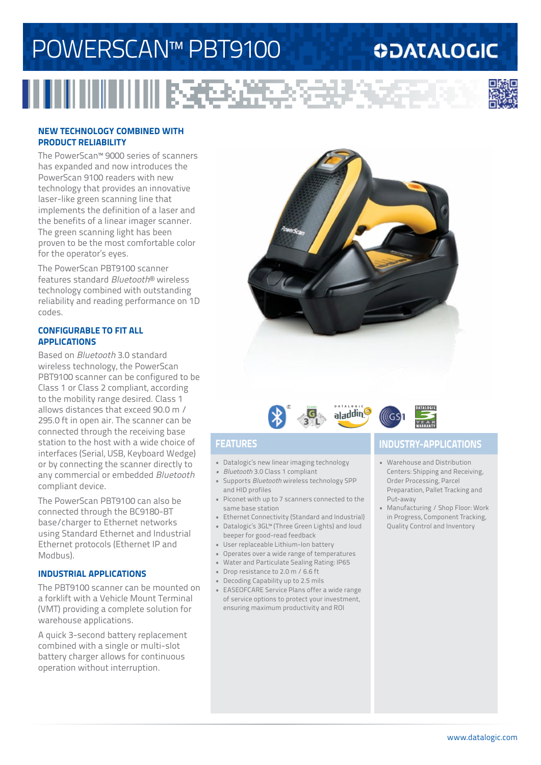# POWERSCAN™ PBT9100

IIIIIIIIIIIIIIIIIIXXXXXXX

### **ODATALOGIC**



#### **NEW TECHNOLOGY COMBINED WITH PRODUCT RELIABILITY**

The PowerScan™ 9000 series of scanners has expanded and now introduces the PowerScan 9100 readers with new technology that provides an innovative laser-like green scanning line that implements the definition of a laser and the benefits of a linear imager scanner. The green scanning light has been proven to be the most comfortable color for the operator's eyes.

The PowerScan PBT9100 scanner features standard *Bluetooth*® wireless technology combined with outstanding reliability and reading performance on 1D codes.

#### **CONFIGURABLE TO FIT ALL APPLICATIONS**

Based on *Bluetooth* 3.0 standard wireless technology, the PowerScan PBT9100 scanner can be configured to be Class 1 or Class 2 compliant, according to the mobility range desired. Class 1 allows distances that exceed 90.0 m / 295.0 ft in open air. The scanner can be connected through the receiving base station to the host with a wide choice of interfaces (Serial, USB, Keyboard Wedge) or by connecting the scanner directly to any commercial or embedded *Bluetooth* compliant device.

The PowerScan PBT9100 can also be connected through the BC9180-BT base/charger to Ethernet networks using Standard Ethernet and Industrial Ethernet protocols (Ethernet IP and Modbus).

#### **INDUSTRIAL APPLICATIONS**

The PBT9100 scanner can be mounted on a forklift with a Vehicle Mount Terminal (VMT) providing a complete solution for warehouse applications.

A quick 3-second battery replacement combined with a single or multi-slot battery charger allows for continuous operation without interruption.







- Datalogic's new linear imaging technology
- *• Bluetooth* 3.0 Class 1 compliant • Supports *Bluetooth* wireless technology SPP and HID profiles
- Piconet with up to 7 scanners connected to the same base station
- Ethernet Connectivity (Standard and Industrial)
- Datalogic's 3GL™ (Three Green Lights) and loud
- beeper for good-read feedback
- User replaceable Lithium-Ion battery
- Operates over a wide range of temperatures
- Water and Particulate Sealing Rating: IP65
- Drop resistance to 2.0 m / 6.6 ft
- Decoding Capability up to 2.5 mils
- EASEOFCARE Service Plans offer a wide range of service options to protect your investment, ensuring maximum productivity and ROI

### **FEATURES INDUSTRY-APPLICATIONS**

- Warehouse and Distribution Centers: Shipping and Receiving, Order Processing, Parcel Preparation, Pallet Tracking and Put-away
- Manufacturing / Shop Floor: Work in Progress, Component Tracking, Quality Control and Inventory